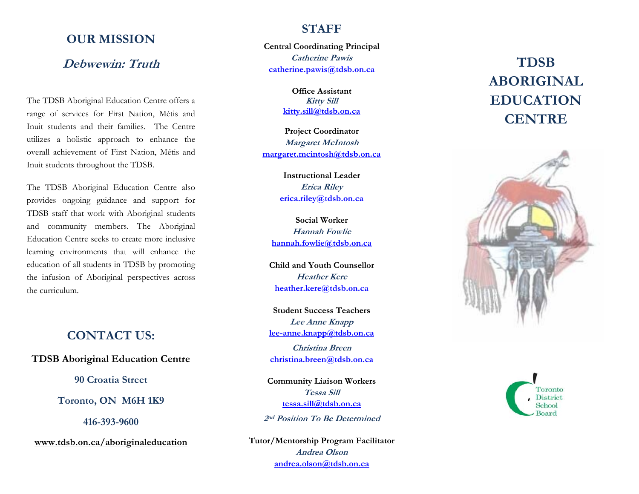#### **OUR MISSION**

#### **Debwewin: Truth**

The TDSB Aboriginal Education Centre offers a range of services for First Nation, Métis and Inuit students and their families. The Centre utilizes a holistic approach to enhance the overall achievement of First Nation, Métis and Inuit students throughout the TDSB.

The TDSB Aboriginal Education Centre also provides ongoing guidance and support for TDSB staff that work with Aboriginal students and community members. The Aboriginal Education Centre seeks to create more inclusive learning environments that will enhance the education of all students in TDSB by promoting the infusion of Aboriginal perspectives across the curriculum.

#### **CONTACT US:**

**TDSB Aboriginal Education Centre**

**90 Croatia Street** 

**Toronto, ON M6H 1K9** 

**416-393-9600** 

**[www.tdsb.on.ca/aboriginaleducation](http://www.tdsb.on.ca/aboriginaleducation)**

#### **STAFF**

**Central Coordinating Principal Catherine Pawis [catherine.pawis@tdsb.on.ca](mailto:catherine.pawis@tdsb.on.ca)**

> **Office AssistantKitty Sill [kitty.sill@tdsb.on.ca](mailto:kitty.sill@tdsb.on.ca)**

**Project Coordinator Margaret McIntosh margaret.mc[intosh@tdsb.on.ca](mailto:margaret.mcintosh@tdsb.on.ca)**

> **Instructional LeaderErica Riley [erica.riley@tdsb.on.ca](mailto:erica.riley@tdsb.on.ca)**

**Social WorkerHannah Fowlie[hannah.fowlie@tdsb.on.ca](mailto:hannah.fowlie@tdsb.on.ca)**

**Child and Youth CounsellorHeather Kere[heather.kere@tdsb.on.ca](mailto:heather.kere@tdsb.on.ca)**

**Student Success TeachersLee Anne Knapp [lee-anne.knapp@tdsb.on.ca](mailto:lee-anne.knapp@tdsb.on.ca)**

**Christina Breen [christina.breen@tdsb.on.ca](mailto:christina.breen@tdsb.on.ca)**

**Community Liaison Workers Tessa Sill[tessa.sill@tdsb.on.ca](mailto:tessa.sill@tdsb.on.ca)**

**2nd Position To Be Determined** 

**Tutor/Mentorship Program Facilitator Andrea Olson[andrea.olson@tdsb.on.ca](mailto:andrea.olson@tdsb.on.ca)**

# **TDSB ABORIGINAL EDUCATION CENTRE**



Toronto District School **Board**